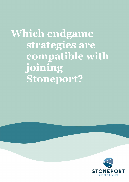Which endgame strategies are compatible with joining Stoneport?

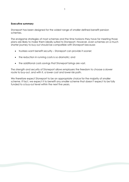## Executive summary

Stoneport has been designed for the widest range of smaller defined benefit pension schemes.

The endgame strategies of most schemes and the time horizons they have for meeting those plans are likely to make them ideally suited to Stoneport. However, even schemes on a much shorter journey to buy-out should be compatible with Stoneport because:

- trustees want benefit security Stoneport can provide it sooner;
- the reduction in running costs is so dramatic; and
- the additional costs savings that Stoneport brings are vast.

The strength and security of Stoneport allows employers the freedom to choose a slower route to buy-out, and with it, a lower cost and lower risk path.

We therefore expect Stoneport to be an appropriate choice for the majority of smaller scheme. If fact, we expect it to benefit any smaller scheme that doesn't expect to be fully funded to a buy-out level within the next five years.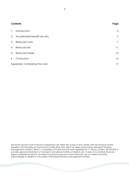| <b>Contents</b>               |                                 | Page |
|-------------------------------|---------------------------------|------|
| $\mathbf{1}$ .                | Introduction                    | 3    |
|                               | 2. Accelerated benefit security | 5    |
|                               | 3. Reduced costs                | 7    |
| 4.                            | Reduced risk                    | 11   |
|                               | 5. Reduced hassle               | 14   |
| 6.                            | Conclusion                      | 16   |
| Appendix: Comparing the costs |                                 | 17   |

This report and the work involved in preparing it are within the scope of and comply with Technical Actuarial Standard 100: Principles for Technical Actuarial Work (TAS 100).It has been produced by Stoneport Pensions Management Limited ("SPML"), a subsidiary of Punter Southall, both registered at 11 Strand, London, WC2N 5HR. It provides general information on Stoneport and related matters of interest only. It does not constitute financial, legal or professional advice. No reliance should be placed on the information set out herein and SPML acknowledge no liability to any parties. © Stoneport Pensions Management Limited.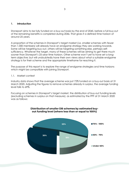## 1. Introduction

Stoneport aims to be fully funded on a buy-out basis by the end of 2045, before a full buy-out of the remaining benefits is completed during 2046. That gives it a defined time horizon of around 25 years.

A proportion of the schemes in Stoneport's target market (i.e. smaller schemes with fewer than 1,000 members) will already have an endgame strategy they are working towards. Some will be targeting buy-out, others will be targeting something else, perhaps selfsufficiency. Whatever the target, many of these schemes will be aiming to get there much sooner than Stoneport's 25-year time horizon. Other scheme won't yet to have set a longterm objective; but will undoubtedly have their own views about what a suitable endgame strategy is for their scheme and the appropriate timeframe for reaching it.

The purpose of this report is to explore the range of endgame strategies and time horizons which might be compatible with joining Stoneport.

## 1.1. Market context

Industry data shows that the average scheme was just 72% funded on a buy-out basis at 31 March 2020. Adjusting the figures to remove schemes already in surplus, the average funding level falls to 69%.

Focusing on schemes in Stoneport's target market, the distribution of buy-out funding levels (excluding schemes in surplus on that measure), as estimated by the PPF at 31 March 2020 was as follows:



## Distribution of smaller DB schemes by estimated buyout funding level (where less than or equal to 100%)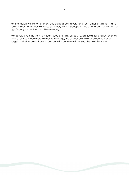For the majority of schemes then, buy-out is at best a very long-term ambition, rather than a realistic short-term goal. For those schemes, joining Stoneport should not mean running on for significantly longer than was likely already.

Moreover, given the very significant scope to stray off course, particular for smaller schemes, where risk is so much more difficult to manage, we expect only a small proportion of our target market to be on track to buy-out with certainly within, say, the next five years.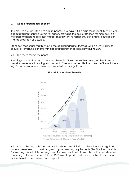### 2. Accelerated benefit security

The main role of a trustee is to ensure benefits are paid in full and in this respect, buy-out with a regulated insurer is the lowest risk option, providing the best protection for members. It is therefore understandable that trustees should want to target buy-out, and to aim to reach that goal as soon as possible.

Stoneport recognises that buy-out is the gold standard for trustees, which is why it aims to secure all remaining benefits with a regulated insurance company during 2046.

2.1. The risk to members' benefits

The biggest collective risk to members' benefits is their sponsor becoming insolvent before benefits are secured, leading to a cutback. Over a scheme's lifetime, the risk of benefit loss is significant, even for employers that are rated as 'strong' today.

#### $70%$ Significant iter frances as the total states or a series with 60% Risk of members losing benefits 509 65% 40%  $30%$  $20%$ 10% 6%  $O%$ CG1: CCD  $CC3$  $CC4$ Strong Tendina Tending Weak to strong to weak Employer covenant rating (single employer scheme) Source: PLSA's Interim DB Taskforce Report, April 2016

## The risk to members' benefits

A buy-out with a regulated insurer practically removes this risk. Under Solvency II, regulated insurers are required to meet stringent capital reserving requirements. The PRA is responsible for ensuring that all UK based regulated insures comply with these rules. In the unlikely event that a regulated insurer does fail, the FSCS aims to provide full compensation to members whose benefits are covered by a buy-out.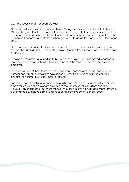## 2.2. The security that Stoneport provides

Stoneport reduces the chance of members suffering a cutback of their benefits to less than 1% (see the guide Employer covenant enhancement on centralisation: a primer for trustees on our website for details). It achieves this transformational improvement in benefit security as soon as it becomes a centralised scheme, which is targeted to happen on 31 December 2022.

Stoneport therefore offers trustees and the members of their schemes the protection and security they both desire; and expects to deliver that in relatively short order (i.e. by the end of 2022).

In doing so, the pressure to fund up to buy-out as soon as possible is removed, enabling a more balanced approach to be taken in respect of the (cash) commitments from the employer.

In the unlikely event that Stoneport fails to become a centralised scheme, because the number and mix of schemes that have joined it is insufficient, the security of members' benefits will not improve to any material extent.

Each scheme will continue to operate on a fully segregated basis, supported by its original employer. As such, the covenant provided to the schemes that join will not change. However, an anticipated (but more modest) reduction in running costs and improvement in governance could have a small positive second order impact on benefit security.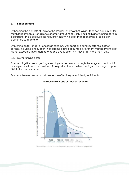#### 3. Reduced costs

By bringing the benefits of scale to the smaller schemes that join it, Stoneport can run on for much longer than a standalone scheme without necessarily incurring higher running costs in aggregate. This is because the reduction in running costs that economies of scale can deliver are so dramatic.

By running on for longer as one large scheme, Stoneport also brings substantial further savings, including a reduction in endgame costs, discounted investment management costs, higher expected investment returns and a reduction in PPF levies (of more than 90%).

#### 3.1. Lower running costs

By operating like one large single employer scheme and through the long-term contracts it has in place with service providers, Stoneport is able to deliver running cost savings of up to 80% to the smallest schemes.

Smaller schemes are too small to ever run effectively or efficiently individually.



## The substantial costs of smaller schemes

Source: Report for the Pensions Regulator prepared by IFF Research, April 2014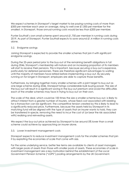We expect schemes in Stoneport's target market to be paying running costs of more than £500 per member each year on average, rising to well over £1,000 per member for the smallest. In Stoneport, those annual running costs would be less than £200 per member.

Punter Southall's own small scheme spent around £1,750 per member in running costs during 2019. As part of Stoneport, Punter Southall expects to save around  $\pounds$ 1.4 million in running costs alone.

## 3.2. Endgame savings

Joining Stoneport is expected to provide the smaller schemes that join it with significant endgame savings.

During the 25-year period prior to the buy-out of the remaining benefit obligations in full during 2046, Stoneport's membership will mature and an increasing proportion of its members will start to receive their pensions. This is important, because securing a buy-out is expensive, particularly for deferred pensioners. There are therefore significant advantages to waiting until the majority of members have retired before implementing a buy-out. By securely running on for longer in Stoneport, employers are able to capture those benefits.

Furthermore, by bringing together many smaller schemes with a joint target to buy-out as one large scheme during 2046, Stoneport brings considerable bulk buying power. The size of the buy-out will result in a significant saving in the buy-out premium and avoid the difficulties each of the smaller schemes may face in trying to buy-out on their own.

The scale of the deal, which could be 100 times the size a smaller scheme buy-out, is likely to attract interest from a greater number of insurers, whose fixed cost associated with bidding for a transaction can be significant. The competitive tension created by this is likely to lead to a significantly reduced price. Furthermore, because the assets held by Stoneport in its matching fund will be aligned with the type of assets that an insurer wants to hold, they can be transferred in-specie, removing the need to incur the cost of (or bear the risk associated with) realising and reinvesting assets.

We expect the buy-out price achieved by Stoneport to be around 5% lower than a small scheme could achieve by approaching an insurer alone.

## 3.3. Lower investment management costs

Stoneport expects to reduce investment management costs for the smaller schemes that join it by exploiting the economies of scale that come with size.

For the same underlying service, better fee terms are available to clients of asset managers with larger pools of assets than those with smaller pools of assets. These economies of scale in investment management are a key motivation behind the establishment of the Local Government Pension Scheme ("LGPS") pooling arrangements by the UK Government.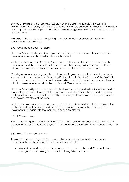By way of illustration, the following research by the Callan Institute 2017 Investment Management Fee Survey found that a scheme with assets between £1 billion and £10 billion paid approximately 0.2% per annum less in asset management fees compared to a sub £1 billion scheme.

We expect the smaller schemes joining Stoneport to make even larger investment management cost savings.

## 3.4. Governance boost to returns

Stoneport's improved operational governance framework will provide higher expected investment returns to the smaller schemes that join it.

As the only two sources of income for a pension scheme are the returns it makes on its investments and the contributions it receives from its sponsor, an increase in investment returns, for no additional risk, can be viewed as a cost saving to the employer.

Good governance is recognised by the Pensions Regulator as the bedrock of a well-run scheme. In its consultation on "Protecting Defined Benefit Pension Schemes" the DWP cite several academic studies, the conclusions of which reveal that good governance through effective investment can add between 1% and 2% per annum to returns.

Stoneport's size will provide access to the best investment opportunities, including a wider range of asset classes. Its more stable and predictable benefit cashflows and long-term strategy will allow it to exploit the illiquidity advantages of accessing higher quality assets available in less efficient markets.

Furthermore, as experienced professionals in their field, Stoneport's trustees will ensure the costs of investment are managed and set benchmarks that align the interests of the investment managers with the members and the employers.

## 3.5. PPF levy saving

Stoneport's unique pooled approach is expected to deliver a reduction in the risk-based element of the protection levy payable to the PPF of more than 90% to the schemes that join it.

## 3.6. Modelling the cost savings

To assess the cost savings that Stoneport delivers, we created a model capable of comparing the costs for a smaller pension scheme which:

 joined Stoneport and therefore continued to run on for the next 25 years, before buying out the remining benefits in full during 2046; or instead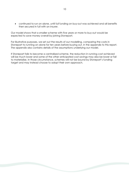continued to run on alone, until full funding on buy-out was achieved and all benefits then secured in full with an insurer.

Our model shows that a smaller scheme with five years or more to buy-out would be expected to save money overall by joining Stoneport.

For illustrative purposes, we set out the results of our modelling, comparing the costs in Stoneport to running on alone for ten years before buying out, in the appendix to this report. The appendix also contains details of the assumptions underlying our model.

If Stoneport fails to become a centralised scheme, the reduction in running cost achieved will be much lower and some of the other anticipated cost savings may also be lower or fail to materialise. In those circumstance, schemes will not be bound by Stoneport's funding target and may instead choose to adopt their own approach.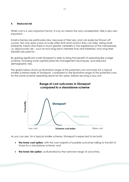## 4. Reduced risk

Whilst cost is a very important factor, it is by no means the only consideration. Risk is also very important.

Small schemes are particularly risky, because of their size, and can easily be thrown off course. Not only does a lack of scale often limit what actions they can take, being small inherently means that there is much greater variability in the experience of the membership, i.e. idiosyncratic risk – such as how long each member lives and therefore, how long their benefits are paid for.

By gaining significant scale Stoneport is able to bring the benefit of operating like a large scheme, including more sophisticated risk management techniques, and reduced demographic risks.

The graph below shows an illustrative range of the potential cost outcomes for a typical smaller scheme inside of Stoneport, compared to the illustrative range of the potential costs for the same scheme operating alone for ten years, before securing a buy-out:



# **Range of cost outcomes in Stoneport** compared to a standalone scheme

As you can see, for a typical smaller scheme, Stoneport is expected to be both:

- the lower cost option, with the vast majority of possible outcomes falling to the left of those for a standalone scheme; and
- the lower risk option, as illustrated by the narrower range of outcomes.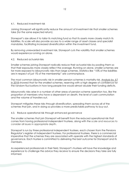#### 4.1. Reduced investment risk

Joining Stoneport will significantly reduce the amount of investment risk that smaller schemes take (for the same expected return).

Stoneport's size allows it to tailor its matching fund so that its assets more closely match its liabilities. Its scale will also provide access to a wider range of asset classes and specialist mandates, facilitating increased diversification within the investment fund.

By removing unrewarded investment risk, Stoneport cuts the volatility that smaller schemes would experience running on alone.

#### 4.2. Reduced actuarial risks

Smaller schemes joining Stoneport radically reduce their actuarial risks by pooling them so that their exposures more closely reflect the average. Running on alone, smaller schemes are far more exposed to idiosyncratic risks than large schemes. Statistics like "10% of the liabilities are in respect of just 1% of the membership" are commonplace.

The most common idiosyncratic risk in smaller pension schemes is mortality risk. Analysis by JLT in 2018 showed that for the smallest schemes, reserving with a high degree of confidence for the random fluctuations in how long people live would almost double their funding deficits.

Idiosyncratic risks arise in a number of other areas of pension scheme operation too, like the proportion of members who have a dependant on death, the level of cash commutation and the volume of transfers-out.

Stoneport mitigates these risks through diversification, spreading them across all of the schemes that join, and in doing so provides a more predictable pathway to buy-out.

#### 4.3. Reduce operational risk through enhanced governance

The smaller schemes that join Stoneport will benefit from the reduced operational risk that comes from having professional independent trustees, along with the scale and resources to consider all issues in appropriate depth.

Stoneport is run by three professional independent trustees, each chosen from the Pensions Regulator's register of independent trustees. For professional trustees, there is a commercial imperative that the schemes they are associated with operate with the highest standards of governance. Each trustee is committed to delivering the best outcome for Stoneport and its members.

As experienced professionals in their field, Stoneport's trustees will have the knowledge and experience to challenge the advice they receive to ensure the decisions they take are fully informed.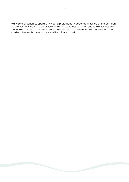Many smaller schemes operate without a professional independent trustee as the cost can be prohibitive. It can also be difficult for smaller schemes to recruit and retain trustees with the required skill set. This can increase the likelihood of operational risks materialising. The smaller schemes that join Stoneport will eliminate this risk.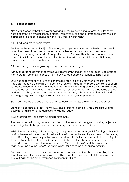## 5. Reduced hassle

Not only is Stoneport both the lower cost and lower risk option, it also removes a lot of the hassle of running a smaller scheme alone. Moreover, its size and professional set up make it better able to adapt to changes in the regulatory environment.

## 5.1. Reduced management time

For the smaller schemes that join Stoneport, employers are provided with what they need when they need it and are supported by experienced advisors who, on their behalf, manage the engagement with Stoneport's trustees. This simplifies the process for employers, making it quicker and easier to take decisive action (with appropriate support), freeing management to focus on their businesses.

## 5.2. Adapting to new regulatory and governance challenges

Although a strong governance framework is entirely necessary and appropriate, to protect members' retirements, it places a very heavy burden on smaller schemes in particular.

2021 has already seen the Pension Schemes Bill receive Royal Assent and the Pensions Regulator launch a consultation to combine ten existing codes of practice, which also seeks to impose a number of new governance requirements. The long-awaited new funding code is expected later this year too. This comes on top of schemes needing to practically address GMP equalisation, protect members from pension scams, safeguard member data and ensure good governance generally, all in the face of a global pandemic.

Stoneport has the size and scale to address these challenges efficiently and effectively.

Stoneport also acts as a gateway to ESG and a greener portfolio, which are difficult and costly for small schemes to achieve individually today.

## 5.2.1 Meeting new long-term funding requirements

The new scheme funding code will require all schemes to set a long-term funding objective. Addressing this challenge alone could be tough for smaller schemes in particular.

Whilst the Pensions Regulator is not going to require schemes to target full funding on buy-out basis, schemes will be required to reduce the reliance on the employer covenant, by funding to and investing consistently with a low dependency basis. Precisely what that means is yet to be defined, but the Pensions Regulator has indicated that the low dependency discount rate will be somewhere in the range of gilts  $+0.5\%$  to gilts  $+0.25\%$  and that significant maturity will be around 15 to 20 years from now for a scheme of average maturity.

For most schemes, these new requirements will result in a significantly higher funding target than their current technical provisions and likely take them very close to full funding on a buy-out basis by the time they reach significant maturity.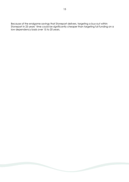Because of the endgame savings that Stoneport delivers, targeting a buy-out within Stoneport in 25 years' time could be significantly cheaper than targeting full funding on a low dependency basis over 15 to 20 years.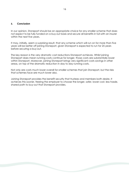## 6. Conclusion

In our opinion, Stoneport should be an appropriate choice for any smaller scheme that does not expect to be fully funded on a buy-out basis and secure all benefits in full with an insurer within the next five years.

It may, initially, seem a surprising result, that any scheme which will run on for more than five years will be better off joining Stoneport, given Stoneport is expected to run for 25 years before securing a buy-out.

The key reason is the very dramatic cost reductions Stoneport achieves. Whilst joining Stoneport does mean running costs continue for longer, those costs are substantially lower within Stoneport. Moreover, joining Stoneport brings very significant costs savings in other areas, on top of the dramatic reduction in day to day running costs.

Not only are costs much lower overall for smaller schemes that join Stoneport, but the risks that schemes face are much lower also.

Joining Stoneport provides the benefit security that trustees and members both desire. It achieves this sooner, freeing the employer to choose the longer, safer, lower cost, less hassle, shared path to buy-out that Stoneport provides.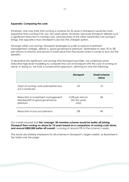#### Appendix: Comparing the costs

Intuitively, one may think that running a scheme for 25 years in Stoneport would be more expensive than running it for, say, ten years alone. However, because Stoneport delivers such a significant reduction in running costs, and because of the other substantial cost savings it brings, the opposite is true: Stoneport is (by far) the cheaper option.

Amongst other cost savings, Stoneport leverages its scale to reduce investment management charges, deliver a 'good governance premium' (estimated to add 1% to 2% per annum to returns) and secure a lower price from the insurer when it comes to buy-out the benefits.

To illustrative the significant cost savings that Stoneport provides, we undertook some indicative high-level modelling to compare the cost of Stoneport with the cost of running on alone. In doing so, we took a conservative approach, allowing for only the following:

|                                                                                  | <b>Stoneport</b>                          | <b>Small scheme</b><br>alone |
|----------------------------------------------------------------------------------|-------------------------------------------|------------------------------|
| Years of running costs paid before buy-<br>out is achieved                       | 25                                        | 10                           |
| Reduction in investment management<br>fees/benefit of good governance<br>premium | 0.5% per annum<br>(for ten years<br>only) | Nil                          |
| Reduction in buy-out premium                                                     | 5%                                        | Nil                          |

Our model showed that the 'average' 50-member scheme would be better off joining Stoneport than running on alone for 10 years based on a comparison of running costs alone, and around £800,000 better off overall - a saving of around 9% of the scheme's assets.

The results are similarly impressive for all schemes in Stoneport's target market, as illustrated in the table over the page: